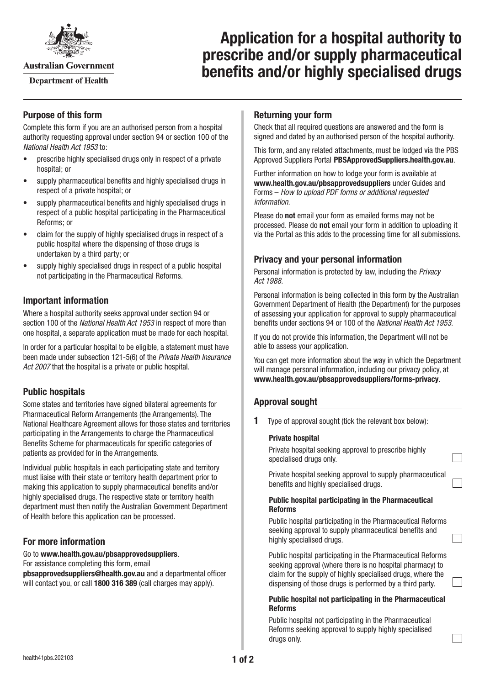

**Australian Government** 

**Department of Health** 

# **Application for a hospital authority to prescribe and/or supply pharmaceutical benefits and/or highly specialised drugs**

# **Purpose of this form**

Complete this form if you are an authorised person from a hospital authority requesting approval under section 94 or section 100 of the *National Health Act 1953* to:

- prescribe highly specialised drugs only in respect of a private hospital; or
- supply pharmaceutical benefits and highly specialised drugs in respect of a private hospital; or
- supply pharmaceutical benefits and highly specialised drugs in respect of a public hospital participating in the Pharmaceutical Reforms; or
- claim for the supply of highly specialised drugs in respect of a public hospital where the dispensing of those drugs is undertaken by a third party; or
- supply highly specialised drugs in respect of a public hospital not participating in the Pharmaceutical Reforms.

# **Important information**

Where a hospital authority seeks approval under section 94 or section 100 of the *National Health Act 1953* in respect of more than one hospital, a separate application must be made for each hospital.

In order for a particular hospital to be eligible, a statement must have been made under subsection 121-5(6) of the *Private Health Insurance Act 2007* that the hospital is a private or public hospital.

# **Public hospitals**

Some states and territories have signed bilateral agreements for Pharmaceutical Reform Arrangements (the Arrangements). The National Healthcare Agreement allows for those states and territories participating in the Arrangements to charge the Pharmaceutical Benefits Scheme for pharmaceuticals for specific categories of patients as provided for in the Arrangements.

Individual public hospitals in each participating state and territory must liaise with their state or territory health department prior to making this application to supply pharmaceutical benefits and/or highly specialised drugs. The respective state or territory health department must then notify the Australian Government Department of Health before this application can be processed.

# **For more information**

### Go to **[www.health.gov.au/pbsapprovedsuppliers](http://www.health.gov.au/pbsapprovedsuppliers)**.

For assistance completing this form, email

**[pbsapprovedsuppliers@health.gov.au](mailto:pbsapprovedsuppliers@health.gov.au)** and a departmental officer will contact you, or call **1800 316 389** (call charges may apply).

# **Returning your form**

Check that all required questions are answered and the form is signed and dated by an authorised person of the hospital authority.

This form, and any related attachments, must be lodged via the PBS Approved Suppliers Portal [PBSApprovedSuppliers.health.gov.au](https://pbsapprovedsuppliers.health.gov.au/).

Further information on how to lodge your form is available at **[www.health.gov.au/pbsapprovedsuppliers](http://www.health.gov.au/pbsapprovedsuppliers)** under Guides and Forms – *How to upload PDF forms or additional requested information*.

Please do **not** email your form as emailed forms may not be processed. Please do **not** email your form in addition to uploading it via the Portal as this adds to the processing time for all submissions.

# **Privacy and your personal information**

Personal information is protected by law, including the *Privacy Act 1988.*

Personal information is being collected in this form by the Australian Government Department of Health (the Department) for the purposes of assessing your application for approval to supply pharmaceutical benefits under sections 94 or 100 of the *National Health Act 1953*.

If you do not provide this information, the Department will not be able to assess your application.

You can get more information about the way in which the Department will manage personal information, including our privacy policy, at **[www.health.gov.au/pbsapprovedsuppliers/forms-privacy](http://www.health.gov.au/pbsapprovedsuppliers/forms-privacy)**.

# **Approval sought**

**1** Type of approval sought (tick the relevant box below):

### **Private hospital**

Private hospital seeking approval to prescribe highly specialised drugs only.

Private hospital seeking approval to supply pharmaceutical benefits and highly specialised drugs.

#### **Public hospital participating in the Pharmaceutical Reforms**

Public hospital participating in the Pharmaceutical Reforms seeking approval to supply pharmaceutical benefits and highly specialised drugs.

Public hospital participating in the Pharmaceutical Reforms seeking approval (where there is no hospital pharmacy) to claim for the supply of highly specialised drugs, where the dispensing of those drugs is performed by a third party.

#### **Public hospital not participating in the Pharmaceutical Reforms**

Public hospital not participating in the Pharmaceutical Reforms seeking approval to supply highly specialised drugs only.